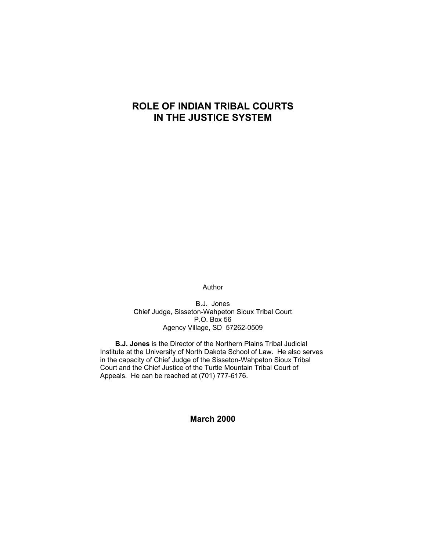# **ROLE OF INDIAN TRIBAL COURTS IN THE JUSTICE SYSTEM**

Author

B.J. Jones Chief Judge, Sisseton-Wahpeton Sioux Tribal Court P.O. Box 56 Agency Village, SD 57262-0509

**B.J. Jones** is the Director of the Northern Plains Tribal Judicial Institute at the University of North Dakota School of Law. He also serves in the capacity of Chief Judge of the Sisseton-Wahpeton Sioux Tribal Court and the Chief Justice of the Turtle Mountain Tribal Court of Appeals. He can be reached at (701) 777-6176.

**March 2000**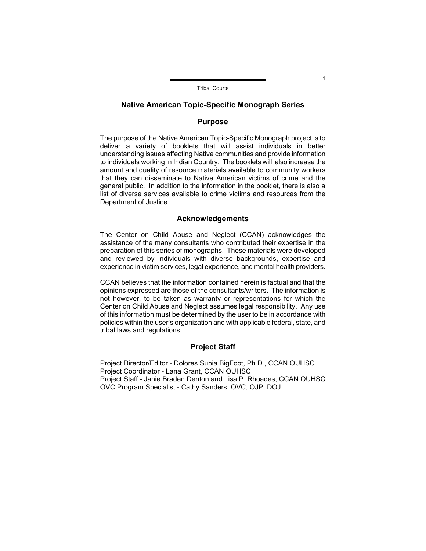#### **Native American Topic-Specific Monograph Series**

## **Purpose**

The purpose of the Native American Topic-Specific Monograph project is to deliver a variety of booklets that will assist individuals in better understanding issues affecting Native communities and provide information to individuals working in Indian Country. The booklets will also increase the amount and quality of resource materials available to community workers that they can disseminate to Native American victims of crime and the general public. In addition to the information in the booklet, there is also a list of diverse services available to crime victims and resources from the Department of Justice.

## **Acknowledgements**

The Center on Child Abuse and Neglect (CCAN) acknowledges the assistance of the many consultants who contributed their expertise in the preparation of this series of monographs. These materials were developed and reviewed by individuals with diverse backgrounds, expertise and experience in victim services, legal experience, and mental health providers.

CCAN believes that the information contained herein is factual and that the opinions expressed are those of the consultants/writers. The information is not however, to be taken as warranty or representations for which the Center on Child Abuse and Neglect assumes legal responsibility. Any use of this information must be determined by the user to be in accordance with policies within the user's organization and with applicable federal, state, and tribal laws and regulations.

### **Project Staff**

Project Director/Editor - Dolores Subia BigFoot, Ph.D., CCAN OUHSC Project Coordinator - Lana Grant, CCAN OUHSC Project Staff - Janie Braden Denton and Lisa P. Rhoades, CCAN OUHSC OVC Program Specialist - Cathy Sanders, OVC, OJP, DOJ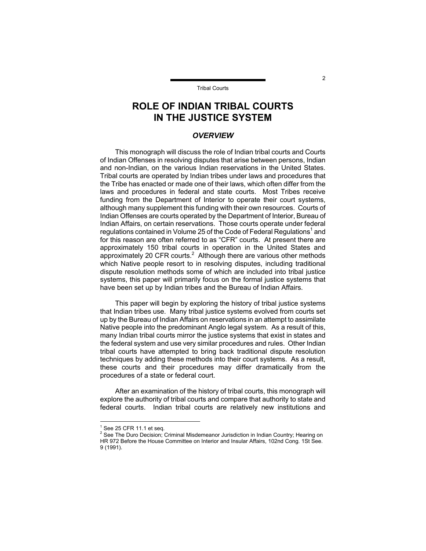# **ROLE OF INDIAN TRIBAL COURTS IN THE JUSTICE SYSTEM**

#### *OVERVIEW*

This monograph will discuss the role of Indian tribal courts and Courts of Indian Offenses in resolving disputes that arise between persons, Indian and non-Indian, on the various Indian reservations in the United States. Tribal courts are operated by Indian tribes under laws and procedures that the Tribe has enacted or made one of their laws, which often differ from the laws and procedures in federal and state courts. Most Tribes receive funding from the Department of Interior to operate their court systems, although many supplement this funding with their own resources. Courts of Indian Offenses are courts operated by the Department of Interior, Bureau of Indian Affairs, on certain reservations. Those courts operate under federal regulations contained in Volume 25 of the Code of Federal Regulations<sup>1</sup> [a](#page-2-0)nd for this reason are often referred to as "CFR" courts. At present there are approximately 150 tribal courts in operation in the United States and approximately [2](#page-2-1)0 CFR courts. $2$  Although there are various other methods which Native people resort to in resolving disputes, including traditional dispute resolution methods some of which are included into tribal justice systems, this paper will primarily focus on the formal justice systems that have been set up by Indian tribes and the Bureau of Indian Affairs.

This paper will begin by exploring the history of tribal justice systems that Indian tribes use. Many tribal justice systems evolved from courts set up by the Bureau of Indian Affairs on reservations in an attempt to assimilate Native people into the predominant Anglo legal system. As a result of this, many Indian tribal courts mirror the justice systems that exist in states and the federal system and use very similar procedures and rules. Other Indian tribal courts have attempted to bring back traditional dispute resolution techniques by adding these methods into their court systems. As a result, these courts and their procedures may differ dramatically from the procedures of a state or federal court.

After an examination of the history of tribal courts, this monograph will explore the authority of tribal courts and compare that authority to state and federal courts. Indian tribal courts are relatively new institutions and

 $\overline{a}$ 

 $\mathfrak{p}$ 

<span id="page-2-0"></span> $1$  See 25 CFR 11.1 et seq.

<span id="page-2-1"></span> $2$  See The Duro Decision; Criminal Misdemeanor Jurisdiction in Indian Country; Hearing on HR 972 Before the House Committee on Interior and Insular Affairs, 102nd Cong. 1St See. 9 (1991).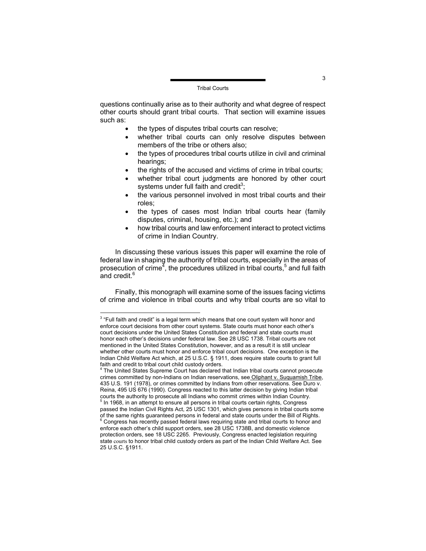questions continually arise as to their authority and what degree of respect other courts should grant tribal courts. That section will examine issues such as:

- the types of disputes tribal courts can resolve;
- whether tribal courts can only resolve disputes between members of the tribe or others also;
- the types of procedures tribal courts utilize in civil and criminal hearings;
- the rights of the accused and victims of crime in tribal courts;
- whether tribal court judgments are honored by other court systems under full faith and credit<sup>[3](#page-3-0)</sup>;
- the various personnel involved in most tribal courts and their roles;
- the types of cases most Indian tribal courts hear (family disputes, criminal, housing, etc.); and
- how tribal courts and law enforcement interact to protect victims of crime in Indian Country.

In discussing these various issues this paper will examine the role of federal law in shaping the authority of tribal courts, especially in the areas of prosecution of crime<sup> $7$ </sup>, the procedures utilized in tribal courts,<sup>[5](#page-3-2)</sup> and full faith and credit.<sup>[6](#page-3-3)</sup>

Finally, this monograph will examine some of the issues facing victims of crime and violence in tribal courts and why tribal courts are so vital to

<span id="page-3-0"></span> 3 "Full faith and credit" is a legal term which means that one court system will honor and enforce court decisions from other court systems. State courts must honor each other's court decisions under the United States Constitution and federal and state courts must honor each other's decisions under federal law. See 28 USC 1738. Tribal courts are not mentioned in the United States Constitution, however, and as a result it is still unclear whether other courts must honor and enforce tribal court decisions. One exception is the Indian Child Welfare Act which, at 25 U.S.C. § 1911, does require state courts to grant full faith and credit to tribal court child custody orders.

<span id="page-3-1"></span> $4$  The United States Supreme Court has declared that Indian tribal courts cannot prosecute crimes committed by non-Indians on Indian reservations, see Oliphant v. Suquamish Tribe, 435 U.S. 191 (1978), or crimes committed by Indians from other reservations. See Duro v. Reina, 495 US 676 (1990). Congress reacted to this latter decision by giving Indian tribal courts the authority to prosecute all Indians who commit crimes within Indian Country.

<span id="page-3-3"></span><span id="page-3-2"></span> $<sup>5</sup>$  In 1968, in an attempt to ensure all persons in tribal courts certain rights, Congress</sup> passed the Indian Civil Rights Act, 25 USC 1301, which gives persons in tribal courts some of the same rights guaranteed persons in federal and state courts under the Bill of Rights. 6 <sup>6</sup> Congress has recently passed federal laws requiring state and tribal courts to honor and enforce each other's child support orders, see 28 USC 1738B, and domestic violence protection orders, see 18 USC 2265. Previously, Congress enacted legislation requiring state courts to honor tribal child custody orders as part of the Indian Child Welfare Act. See 25 U.S.C. §1911.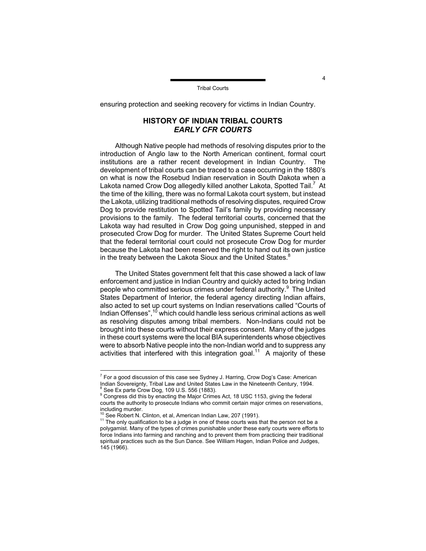ensuring protection and seeking recovery for victims in Indian Country.

# **HISTORY OF INDIAN TRIBAL COURTS**  *EARLY CFR COURTS*

Although Native people had methods of resolving disputes prior to the introduction of Anglo law to the North American continent, formal court institutions are a rather recent development in Indian Country. The development of tribal courts can be traced to a case occurring in the 1880's on what is now the Rosebud Indian reservation in South Dakota when a Lakota named Crow Dog allegedly killed another Lakota, Spotted Tail.<sup>[7](#page-4-0)</sup> At the time of the killing, there was no formal Lakota court system, but instead the Lakota, utilizing traditional methods of resolving disputes, required Crow Dog to provide restitution to Spotted Tail's family by providing necessary provisions to the family. The federal territorial courts, concerned that the Lakota way had resulted in Crow Dog going unpunished, stepped in and prosecuted Crow Dog for murder. The United States Supreme Court held that the federal territorial court could not prosecute Crow Dog for murder because the Lakota had been reserved the right to hand out its own justice in the treaty between the Lakota Sioux and the United States.<sup>[8](#page-4-1)</sup>

The United States government felt that this case showed a lack of law enforcement and justice in Indian Country and quickly acted to bring Indian people who committed serious crimes under federal authority.<sup>[9](#page-4-2)</sup> The United States Department of Interior, the federal agency directing Indian affairs, also acted to set up court systems on Indian reservations called "Courts of Indian Offenses", $10$  which could handle less serious criminal actions as well as resolving disputes among tribal members. Non-Indians could not be brought into these courts without their express consent. Many of the judges in these court systems were the local BIA superintendents whose objectives were to absorb Native people into the non-Indian world and to suppress any activities that interfered with this integration goal.<sup>11</sup> A majority of these

<span id="page-4-0"></span> $7$  For a good discussion of this case see Sydney J. Harring, Crow Dog's Case: American Indian Sovereignty, Tribal Law and United States Law in the Nineteenth Century, 1994. 8 See Ex parte Crow Dog, 109 U.S. 556 (1883).

<span id="page-4-2"></span><span id="page-4-1"></span>Congress did this by enacting the Major Crimes Act, 18 USC 1153, giving the federal courts the authority to prosecute Indians who commit certain major crimes on reservations, including murder.<br><sup>10</sup> See Robert N. Clinton, et al, American Indian Law, 207 (1991).

<span id="page-4-3"></span>

<span id="page-4-4"></span><sup>&</sup>lt;sup>11</sup> The only qualification to be a judge in one of these courts was that the person not be a polygamist. Many of the types of crimes punishable under these early courts were efforts to force Indians into farming and ranching and to prevent them from practicing their traditional spiritual practices such as the Sun Dance. See William Hagen, Indian Police and Judges, 145 (1966).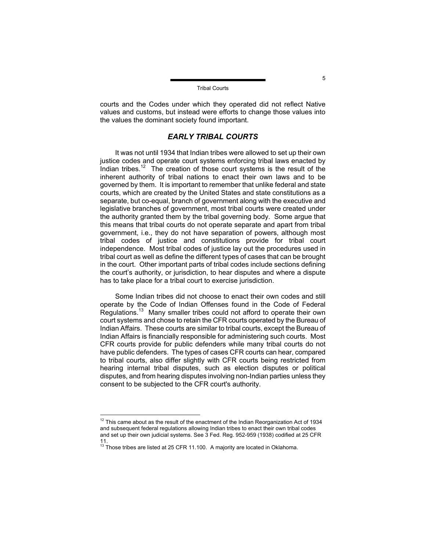courts and the Codes under which they operated did not reflect Native values and customs, but instead were efforts to change those values into the values the dominant society found important.

### *EARLY TRIBAL COURTS*

It was not until 1934 that Indian tribes were allowed to set up their own justice codes and operate court systems enforcing tribal laws enacted by Indian tribes.<sup>[12](#page-5-0)</sup> The creation of those court systems is the result of the inherent authority of tribal nations to enact their own laws and to be governed by them. It is important to remember that unlike federal and state courts, which are created by the United States and state constitutions as a separate, but co-equal, branch of government along with the executive and legislative branches of government, most tribal courts were created under the authority granted them by the tribal governing body. Some argue that this means that tribal courts do not operate separate and apart from tribal government, i.e., they do not have separation of powers, although most tribal codes of justice and constitutions provide for tribal court independence. Most tribal codes of justice lay out the procedures used in tribal court as well as define the different types of cases that can be brought in the court. Other important parts of tribal codes include sections defining the court's authority, or jurisdiction, to hear disputes and where a dispute has to take place for a tribal court to exercise jurisdiction.

Some Indian tribes did not choose to enact their own codes and still operate by the Code of Indian Offenses found in the Code of Federal Regulations.[13](#page-5-1) Many smaller tribes could not afford to operate their own court systems and chose to retain the CFR courts operated by the Bureau of Indian Affairs. These courts are similar to tribal courts, except the Bureau of Indian Affairs is financially responsible for administering such courts. Most CFR courts provide for public defenders while many tribal courts do not have public defenders. The types of cases CFR courts can hear, compared to tribal courts, also differ slightly with CFR courts being restricted from hearing internal tribal disputes, such as election disputes or political disputes, and from hearing disputes involving non-Indian parties unless they consent to be subjected to the CFR court's authority.

<span id="page-5-0"></span> $12$  This came about as the result of the enactment of the Indian Reorganization Act of 1934 and subsequent federal regulations allowing Indian tribes to enact their own tribal codes and set up their own judicial systems. See 3 Fed. Reg. 952-959 (1938) codified at 25 CFR

<span id="page-5-1"></span><sup>11.&</sup>lt;br><sup>13</sup> Those tribes are listed at 25 CFR 11.100. A majority are located in Oklahoma.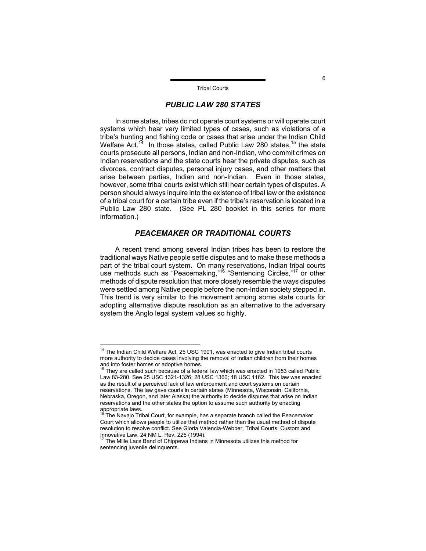### *PUBLIC LAW 280 STATES*

In some states, tribes do not operate court systems or will operate court systems which hear very limited types of cases, such as violations of a tribe's hunting and fishing code or cases that arise under the Indian Child Welfare Act.<sup>14</sup> In those states, called Public Law 280 states,  $15$  the state courts prosecute all persons, Indian and non-Indian, who commit crimes on Indian reservations and the state courts hear the private disputes, such as divorces, contract disputes, personal injury cases, and other matters that arise between parties, Indian and non-Indian. Even in those states, however, some tribal courts exist which still hear certain types of disputes. A person should always inquire into the existence of tribal law or the existence of a tribal court for a certain tribe even if the tribe's reservation is located in a Public Law 280 state. (See PL 280 booklet in this series for more information.)

## *PEACEMAKER OR TRADITIONAL COURTS*

A recent trend among several Indian tribes has been to restore the traditional ways Native people settle disputes and to make these methods a part of the tribal court system. On many reservations, Indian tribal courts use methods such as "Peacemaking,"<sup>16</sup> "Sentencing Circles,"<sup>17</sup> or other methods of dispute resolution that more closely resemble the ways disputes were settled among Native people before the non-Indian society stepped in. This trend is very similar to the movement among some state courts for adopting alternative dispute resolution as an alternative to the adversary system the Anglo legal system values so highly.

<span id="page-6-0"></span> $14$  The Indian Child Welfare Act, 25 USC 1901, was enacted to give Indian tribal courts more authority to decide cases involving the removal of Indian children from their homes and into foster homes or adoptive homes.

<span id="page-6-1"></span><sup>&</sup>lt;sup>15</sup> They are called such because of a federal law which was enacted in 1953 called Public Law 83-280. See 25 USC 1321-1326; 28 USC 1360; 18 USC 1162. This law was enacted as the result of a perceived lack of law enforcement and court systems on certain reservations. The law gave courts in certain states (Minnesota, Wisconsin, California, Nebraska, Oregon, and later Alaska) the authority to decide disputes that arise on Indian reservations and the other states the option to assume such authority by enacting<br>appropriate laws.<br> $\frac{16}{16}$ The Neuris Titlet Os

<span id="page-6-2"></span>The Navajo Tribal Court, for example, has a separate branch called the Peacemaker Court which allows people to utilize that method rather than the usual method of dispute resolution to resolve conflict. See Gloria Valencia-Webber, Tribal Courts: Custom and Innovative Law, 24 NM L. Rev. 225 (1994).<br><sup>17</sup> The Mille Lacs Band of Chippewa Indians in Minnesota utilizes this method for

<span id="page-6-3"></span>sentencing juvenile delinquents.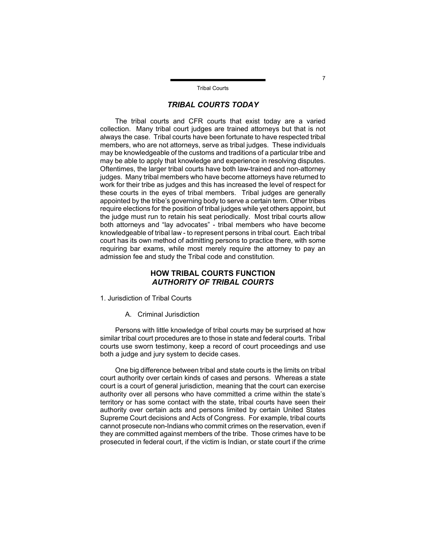### *TRIBAL COURTS TODAY*

The tribal courts and CFR courts that exist today are a varied collection. Many tribal court judges are trained attorneys but that is not always the case. Tribal courts have been fortunate to have respected tribal members, who are not attorneys, serve as tribal judges. These individuals may be knowledgeable of the customs and traditions of a particular tribe and may be able to apply that knowledge and experience in resolving disputes. Oftentimes, the larger tribal courts have both law-trained and non-attorney judges. Many tribal members who have become attorneys have returned to work for their tribe as judges and this has increased the level of respect for these courts in the eyes of tribal members. Tribal judges are generally appointed by the tribe's governing body to serve a certain term. Other tribes require elections for the position of tribal judges while yet others appoint, but the judge must run to retain his seat periodically. Most tribal courts allow both attorneys and "lay advocates" - tribal members who have become knowledgeable of tribal law - to represent persons in tribal court. Each tribal court has its own method of admitting persons to practice there, with some requiring bar exams, while most merely require the attorney to pay an admission fee and study the Tribal code and constitution.

## **HOW TRIBAL COURTS FUNCTION**  *AUTHORITY OF TRIBAL COURTS*

- 1. Jurisdiction of Tribal Courts
	- A. Criminal Jurisdiction

Persons with little knowledge of tribal courts may be surprised at how similar tribal court procedures are to those in state and federal courts. Tribal courts use sworn testimony, keep a record of court proceedings and use both a judge and jury system to decide cases.

One big difference between tribal and state courts is the limits on tribal court authority over certain kinds of cases and persons. Whereas a state court is a court of general jurisdiction, meaning that the court can exercise authority over all persons who have committed a crime within the state's territory or has some contact with the state, tribal courts have seen their authority over certain acts and persons limited by certain United States Supreme Court decisions and Acts of Congress. For example, tribal courts cannot prosecute non-Indians who commit crimes on the reservation, even if they are committed against members of the tribe. Those crimes have to be prosecuted in federal court, if the victim is Indian, or state court if the crime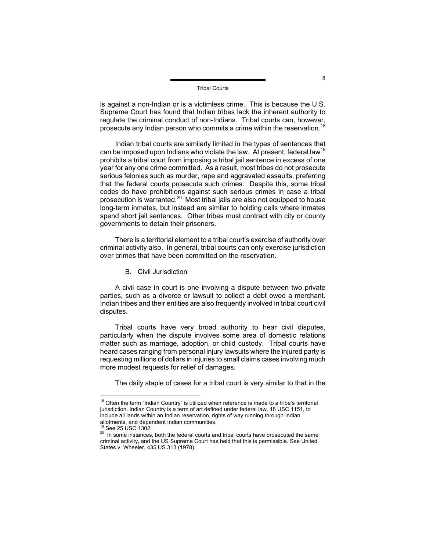is against a non-Indian or is a victimless crime. This is because the U.S. Supreme Court has found that Indian tribes lack the inherent authority to regulate the criminal conduct of non-Indians. Tribal courts can, however, prosecute any Indian person who commits a crime within the reservation.<sup>[18](#page-8-0)</sup>

Indian tribal courts are similarly limited in the types of sentences that can be imposed upon Indians who violate the law. At present, federal law<sup>[19](#page-8-1)</sup> prohibits a tribal court from imposing a tribal jail sentence in excess of one year for any one crime committed. As a result, most tribes do not prosecute serious felonies such as murder, rape and aggravated assaults, preferring that the federal courts prosecute such crimes. Despite this, some tribal codes do have prohibitions against such serious crimes in case a tribal prosecution is warranted.<sup>20</sup> Most tribal jails are also not equipped to house long-term inmates, but instead are similar to holding cells where inmates spend short jail sentences. Other tribes must contract with city or county governments to detain their prisoners.

There is a territorial element to a tribal court's exercise of authority over criminal activity also. In general, tribal courts can only exercise jurisdiction over crimes that have been committed on the reservation.

B. Civil Jurisdiction

A civil case in court is one involving a dispute between two private parties, such as a divorce or lawsuit to collect a debt owed a merchant. Indian tribes and their entities are also frequently involved in tribal court civil disputes.

Tribal courts have very broad authority to hear civil disputes, particularly when the dispute involves some area of domestic relations matter such as marriage, adoption, or child custody. Tribal courts have heard cases ranging from personal injury lawsuits where the injured party is requesting millions of dollars in injuries to small claims cases involving much more modest requests for relief of damages.

The daily staple of cases for a tribal court is very similar to that in the

<span id="page-8-0"></span> $18$  Often the term "Indian Country" is utilized when reference is made to a tribe's territorial jurisdiction. Indian Country is a term of art defined under federal law, 18 USC 1151, to include all lands within an Indian reservation, rights of way running through Indian allotments, and dependent Indian communities.<br><sup>19</sup> See 25 USC 1302.

<span id="page-8-1"></span>

<span id="page-8-2"></span><sup>&</sup>lt;sup>20</sup> In some instances, both the federal courts and tribal courts have prosecuted the same criminal activity, and the US Supreme Court has held that this is permissible. See United States v. Wheeler, 435 US 313 (1978).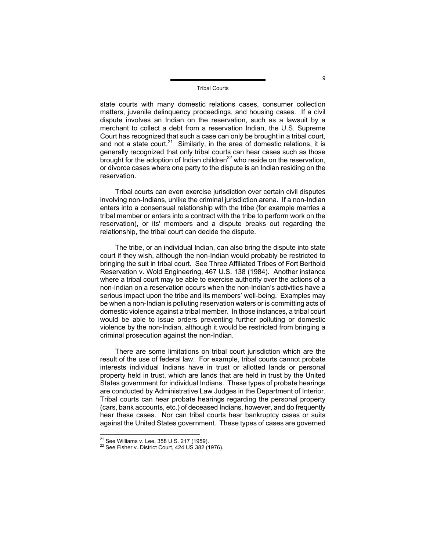state courts with many domestic relations cases, consumer collection matters, juvenile delinquency proceedings, and housing cases. If a civil dispute involves an Indian on the reservation, such as a lawsuit by a merchant to collect a debt from a reservation Indian, the U.S. Supreme Court has recognized that such a case can only be brought in a tribal court, and not a state court.<sup>21</sup> Similarly, in the area of domestic relations, it is generally recognized that only tribal courts can hear cases such as those brought for the adoption of Indian children<sup>[22](#page-9-1)</sup> who reside on the reservation, or divorce cases where one party to the dispute is an Indian residing on the reservation.

Tribal courts can even exercise jurisdiction over certain civil disputes involving non-Indians, unlike the criminal jurisdiction arena. If a non-Indian enters into a consensual relationship with the tribe (for example marries a tribal member or enters into a contract with the tribe to perform work on the reservation), or its' members and a dispute breaks out regarding the relationship, the tribal court can decide the dispute.

The tribe, or an individual Indian, can also bring the dispute into state court if they wish, although the non-Indian would probably be restricted to bringing the suit in tribal court. See Three Affiliated Tribes of Fort Berthold Reservation v. Wold Engineering, 467 U.S. 138 (1984). Another instance where a tribal court may be able to exercise authority over the actions of a non-Indian on a reservation occurs when the non-Indian's activities have a serious impact upon the tribe and its members' well-being. Examples may be when a non-Indian is polluting reservation waters or is committing acts of domestic violence against a tribal member. In those instances, a tribal court would be able to issue orders preventing further polluting or domestic violence by the non-Indian, although it would be restricted from bringing a criminal prosecution against the non-Indian.

There are some limitations on tribal court jurisdiction which are the result of the use of federal law. For example, tribal courts cannot probate interests individual Indians have in trust or allotted lands or personal property held in trust, which are lands that are held in trust by the United States government for individual Indians. These types of probate hearings are conducted by Administrative Law Judges in the Department of Interior. Tribal courts can hear probate hearings regarding the personal property (cars, bank accounts, etc.) of deceased Indians, however, and do frequently hear these cases. Nor can tribal courts hear bankruptcy cases or suits against the United States government. These types of cases are governed

9

<span id="page-9-0"></span><sup>&</sup>lt;sup>21</sup> See Williams v. Lee, 358 U.S. 217 (1959).

<span id="page-9-1"></span> $22$  See Fisher v. District Court, 424 US 382 (1976).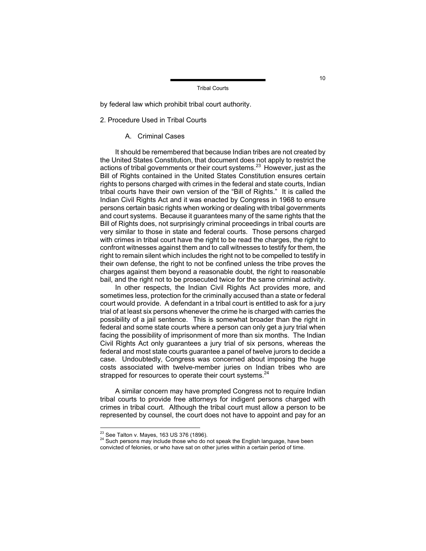by federal law which prohibit tribal court authority.

#### 2. Procedure Used in Tribal Courts

### A. Criminal Cases

It should be remembered that because Indian tribes are not created by the United States Constitution, that document does not apply to restrict the actions of tribal governments or their court systems.<sup>23</sup> However, just as the Bill of Rights contained in the United States Constitution ensures certain rights to persons charged with crimes in the federal and state courts, Indian tribal courts have their own version of the "Bill of Rights." It is called the Indian Civil Rights Act and it was enacted by Congress in 1968 to ensure persons certain basic rights when working or dealing with tribal governments and court systems. Because it guarantees many of the same rights that the Bill of Rights does, not surprisingly criminal proceedings in tribal courts are very similar to those in state and federal courts. Those persons charged with crimes in tribal court have the right to be read the charges, the right to confront witnesses against them and to call witnesses to testify for them, the right to remain silent which includes the right not to be compelled to testify in their own defense, the right to not be confined unless the tribe proves the charges against them beyond a reasonable doubt, the right to reasonable bail, and the right not to be prosecuted twice for the same criminal activity.

In other respects, the Indian Civil Rights Act provides more, and sometimes less, protection for the criminally accused than a state or federal court would provide. A defendant in a tribal court is entitled to ask for a jury trial of at least six persons whenever the crime he is charged with carries the possibility of a jail sentence. This is somewhat broader than the right in federal and some state courts where a person can only get a jury trial when facing the possibility of imprisonment of more than six months. The Indian Civil Rights Act only guarantees a jury trial of six persons, whereas the federal and most state courts guarantee a panel of twelve jurors to decide a case. Undoubtedly, Congress was concerned about imposing the huge costs associated with twelve-member juries on Indian tribes who are strapped for resources to operate their court systems.<sup>[24](#page-10-1)</sup>

A similar concern may have prompted Congress not to require Indian tribal courts to provide free attorneys for indigent persons charged with crimes in tribal court. Although the tribal court must allow a person to be represented by counsel, the court does not have to appoint and pay for an

<span id="page-10-0"></span><sup>&</sup>lt;sup>23</sup> See Talton v. Mayes, 163 US 376 (1896).

<span id="page-10-1"></span> $24$  Such persons may include those who do not speak the English language, have been convicted of felonies, or who have sat on other juries within a certain period of time.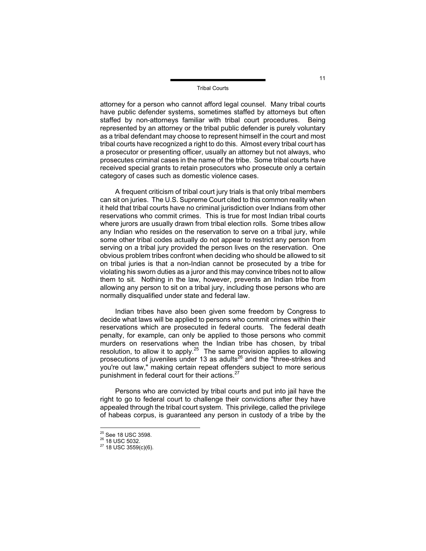attorney for a person who cannot afford legal counsel. Many tribal courts have public defender systems, sometimes staffed by attorneys but often staffed by non-attorneys familiar with tribal court procedures. Being represented by an attorney or the tribal public defender is purely voluntary as a tribal defendant may choose to represent himself in the court and most tribal courts have recognized a right to do this. Almost every tribal court has a prosecutor or presenting officer, usually an attorney but not always, who prosecutes criminal cases in the name of the tribe. Some tribal courts have received special grants to retain prosecutors who prosecute only a certain category of cases such as domestic violence cases.

A frequent criticism of tribal court jury trials is that only tribal members can sit on juries. The U.S. Supreme Court cited to this common reality when it held that tribal courts have no criminal jurisdiction over Indians from other reservations who commit crimes. This is true for most Indian tribal courts where jurors are usually drawn from tribal election rolls. Some tribes allow any Indian who resides on the reservation to serve on a tribal jury, while some other tribal codes actually do not appear to restrict any person from serving on a tribal jury provided the person lives on the reservation. One obvious problem tribes confront when deciding who should be allowed to sit on tribal juries is that a non-Indian cannot be prosecuted by a tribe for violating his sworn duties as a juror and this may convince tribes not to allow them to sit. Nothing in the law, however, prevents an Indian tribe from allowing any person to sit on a tribal jury, including those persons who are normally disqualified under state and federal law.

Indian tribes have also been given some freedom by Congress to decide what laws will be applied to persons who commit crimes within their reservations which are prosecuted in federal courts. The federal death penalty, for example, can only be applied to those persons who commit murders on reservations when the Indian tribe has chosen, by tribal resolution, to allow it to apply.<sup>25</sup> The same provision applies to allowing prosecutions of juveniles under 13 as adults $^{26}$  and the "three-strikes and you're out law," making certain repeat offenders subject to more serious punishment in federal court for their actions.<sup>[27](#page-11-2)</sup>

Persons who are convicted by tribal courts and put into jail have the right to go to federal court to challenge their convictions after they have appealed through the tribal court system. This privilege, called the privilege of habeas corpus, is guaranteed any person in custody of a tribe by the

<span id="page-11-0"></span><sup>&</sup>lt;sup>25</sup> See 18 USC 3598

<span id="page-11-2"></span><span id="page-11-1"></span>

 $\frac{26}{27}$  18 USC 5032.<br> $\frac{27}{18}$  USC 3559(c)(6).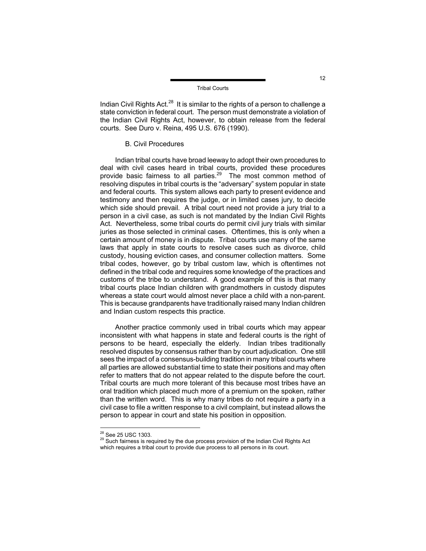Indian Civil Rights Act. $^{28}$  It is similar to the rights of a person to challenge a state conviction in federal court. The person must demonstrate a violation of the Indian Civil Rights Act, however, to obtain release from the federal courts. See Duro v. Reina, 495 U.S. 676 (1990).

#### B. Civil Procedures

Indian tribal courts have broad leeway to adopt their own procedures to deal with civil cases heard in tribal courts, provided these procedures provide basic fairness to all parties. $29$  The most common method of resolving disputes in tribal courts is the "adversary" system popular in state and federal courts. This system allows each party to present evidence and testimony and then requires the judge, or in limited cases jury, to decide which side should prevail. A tribal court need not provide a jury trial to a person in a civil case, as such is not mandated by the Indian Civil Rights Act. Nevertheless, some tribal courts do permit civil jury trials with similar juries as those selected in criminal cases. Oftentimes, this is only when a certain amount of money is in dispute. Tribal courts use many of the same laws that apply in state courts to resolve cases such as divorce, child custody, housing eviction cases, and consumer collection matters. Some tribal codes, however, go by tribal custom law, which is oftentimes not defined in the tribal code and requires some knowledge of the practices and customs of the tribe to understand. A good example of this is that many tribal courts place Indian children with grandmothers in custody disputes whereas a state court would almost never place a child with a non-parent. This is because grandparents have traditionally raised many Indian children and Indian custom respects this practice.

Another practice commonly used in tribal courts which may appear inconsistent with what happens in state and federal courts is the right of persons to be heard, especially the elderly. Indian tribes traditionally resolved disputes by consensus rather than by court adjudication. One still sees the impact of a consensus-building tradition in many tribal courts where all parties are allowed substantial time to state their positions and may often refer to matters that do not appear related to the dispute before the court. Tribal courts are much more tolerant of this because most tribes have an oral tradition which placed much more of a premium on the spoken, rather than the written word. This is why many tribes do not require a party in a civil case to file a written response to a civil complaint, but instead allows the person to appear in court and state his position in opposition.

<span id="page-12-0"></span><sup>&</sup>lt;sup>28</sup> See 25 USC 1303.

<span id="page-12-1"></span><sup>&</sup>lt;sup>29</sup> Such fairness is required by the due process provision of the Indian Civil Rights Act which requires a tribal court to provide due process to all persons in its court.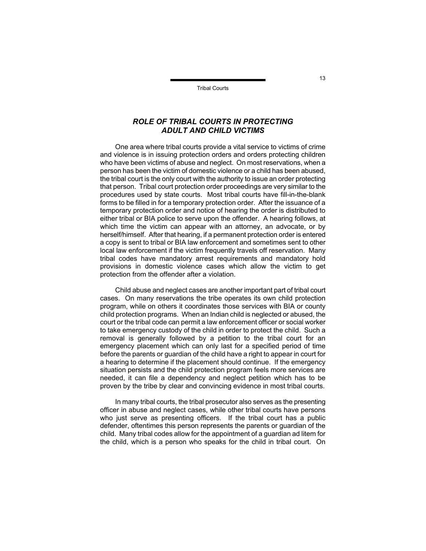# *ROLE OF TRIBAL COURTS IN PROTECTING ADULT AND CHILD VICTIMS*

One area where tribal courts provide a vital service to victims of crime and violence is in issuing protection orders and orders protecting children who have been victims of abuse and neglect. On most reservations, when a person has been the victim of domestic violence or a child has been abused, the tribal court is the only court with the authority to issue an order protecting that person. Tribal court protection order proceedings are very similar to the procedures used by state courts. Most tribal courts have fill-in-the-blank forms to be filled in for a temporary protection order. After the issuance of a temporary protection order and notice of hearing the order is distributed to either tribal or BIA police to serve upon the offender. A hearing follows, at which time the victim can appear with an attorney, an advocate, or by herself/himself. After that hearing, if a permanent protection order is entered a copy is sent to tribal or BIA law enforcement and sometimes sent to other local law enforcement if the victim frequently travels off reservation. Many tribal codes have mandatory arrest requirements and mandatory hold provisions in domestic violence cases which allow the victim to get protection from the offender after a violation.

Child abuse and neglect cases are another important part of tribal court cases. On many reservations the tribe operates its own child protection program, while on others it coordinates those services with BIA or county child protection programs. When an Indian child is neglected or abused, the court or the tribal code can permit a law enforcement officer or social worker to take emergency custody of the child in order to protect the child. Such a removal is generally followed by a petition to the tribal court for an emergency placement which can only last for a specified period of time before the parents or guardian of the child have a right to appear in court for a hearing to determine if the placement should continue. If the emergency situation persists and the child protection program feels more services are needed, it can file a dependency and neglect petition which has to be proven by the tribe by clear and convincing evidence in most tribal courts.

In many tribal courts, the tribal prosecutor also serves as the presenting officer in abuse and neglect cases, while other tribal courts have persons who just serve as presenting officers. If the tribal court has a public defender, oftentimes this person represents the parents or guardian of the child. Many tribal codes allow for the appointment of a guardian ad litem for the child, which is a person who speaks for the child in tribal court. On

13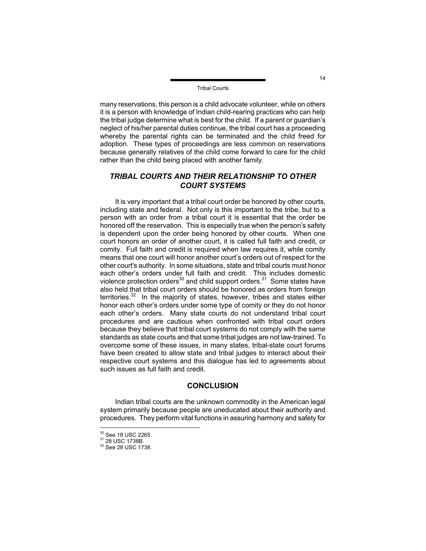many reservations, this person is a child advocate volunteer, while on others it is a person with knowledge of Indian child-rearing practices who can help the tribal judge determine what is best for the child. If a parent or guardian's neglect of his/her parental duties continue, the tribal court has a proceeding whereby the parental rights can be terminated and the child freed for adoption. These types of proceedings are less common on reservations because generally relatives of the child come forward to care for the child rather than the child being placed with another family.

# *TRIBAL COURTS AND THEIR RELATIONSHIP TO OTHER COURT SYSTEMS*

It is very important that a tribal court order be honored by other courts, including state and federal. Not only is this important to the tribe, but to a person with an order from a tribal court it is essential that the order be honored off the reservation. This is especially true when the person's safety is dependent upon the order being honored by other courts. When one court honors an order of another court, it is called full faith and credit, or comity. Full faith and credit is required when law requires it, while comity means that one court will honor another court's orders out of respect for the other court's authority. In some situations, state and tribal courts must honor each other's orders under full faith and credit. This includes domestic violence protection orders<sup>30</sup> and child support orders.<sup>31</sup> Some states have also held that tribal court orders should be honored as orders from foreign territories.<sup>32</sup> In the majority of states, however, tribes and states either honor each other's orders under some type of comity or they do not honor each other's orders. Many state courts do not understand tribal court procedures and are cautious when confronted with tribal court orders because they believe that tribal court systems do not comply with the same standards as state courts and that some tribal judges are not law-trained. To overcome some of these issues, in many states, tribal-state court forums have been created to allow state and tribal judges to interact about their respective court systems and this dialogue has led to agreements about such issues as full faith and credit.

#### **CONCLUSION**

Indian tribal courts are the unknown commodity in the American legal system primarily because people are uneducated about their authority and procedures. They perform vital functions in assuring harmony and safety for

<span id="page-14-0"></span><sup>&</sup>lt;sup>30</sup> See 18 USC 2265.

<span id="page-14-2"></span><span id="page-14-1"></span>

<sup>&</sup>lt;sup>31</sup> 28 USC 1738B.<br><sup>32</sup> See 28 USC 1738.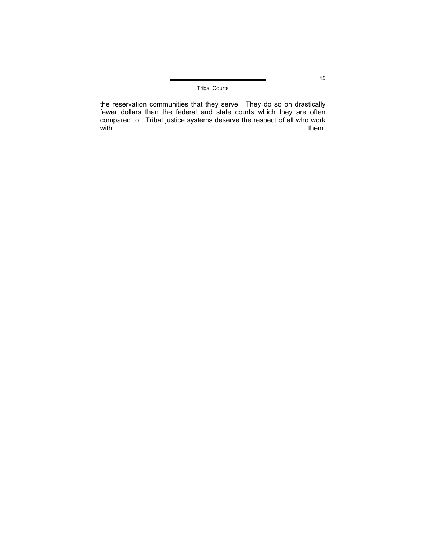the reservation communities that they serve. They do so on drastically fewer dollars than the federal and state courts which they are often compared to. Tribal justice systems deserve the respect of all who work<br>with them.  $with$  them.

15